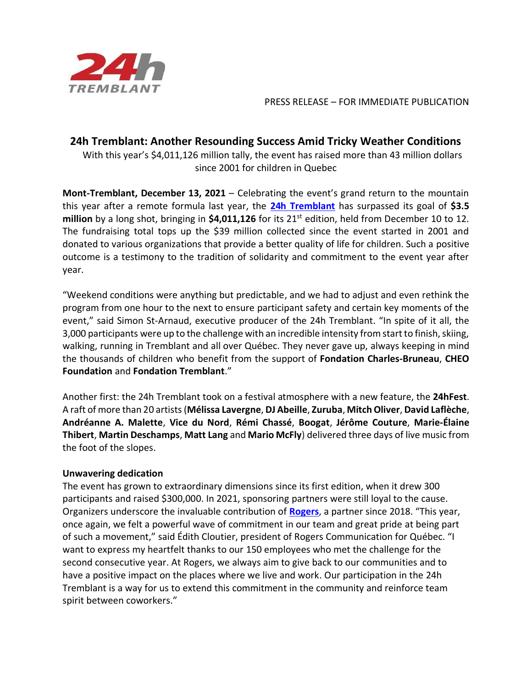

PRESS RELEASE – FOR IMMEDIATE PUBLICATION

## **24h Tremblant: Another Resounding Success Amid Tricky Weather Conditions**

 With this year's \$4,011,126 million tally, the event has raised more than 43 million dollars since 2001 for children in Quebec

**Mont-Tremblant, December 13, 2021** – Celebrating the event's grand return to the mountain this year after a remote formula last year, the **[24h Tremblant](https://www.24htremblant.com/fr)** has surpassed its goal of **\$3.5**  million by a long shot, bringing in \$4,011,126 for its 21<sup>st</sup> edition, held from December 10 to 12. The fundraising total tops up the \$39 million collected since the event started in 2001 and donated to various organizations that provide a better quality of life for children. Such a positive outcome is a testimony to the tradition of solidarity and commitment to the event year after year.

"Weekend conditions were anything but predictable, and we had to adjust and even rethink the program from one hour to the next to ensure participant safety and certain key moments of the event," said Simon St-Arnaud, executive producer of the 24h Tremblant. "In spite of it all, the 3,000 participants were up to the challenge with an incredible intensity from start to finish, skiing, walking, running in Tremblant and all over Québec. They never gave up, always keeping in mind the thousands of children who benefit from the support of **Fondation Charles-Bruneau**, **CHEO Foundation** and **Fondation Tremblant**."

Another first: the 24h Tremblant took on a festival atmosphere with a new feature, the **24hFest**. A raft of more than 20 artists(**Mélissa Lavergne**, **DJ Abeille**, **Zuruba**, **Mitch Oliver**, **David Laflèche**, **Andréanne A. Malette**, **Vice du Nord**, **Rémi Chassé**, **Boogat**, **Jérôme Couture**, **Marie-Élaine Thibert**, **Martin Deschamps**, **Matt Lang** and **Mario McFly**) delivered three days of live music from the foot of the slopes.

## **Unwavering dedication**

The event has grown to extraordinary dimensions since its first edition, when it drew 300 participants and raised \$300,000. In 2021, sponsoring partners were still loyal to the cause. Organizers underscore the invaluable contribution of **[Rogers](https://www.rogers.com/)**, a partner since 2018. "This year, once again, we felt a powerful wave of commitment in our team and great pride at being part of such a movement," said Édith Cloutier, president of Rogers Communication for Québec. "I want to express my heartfelt thanks to our 150 employees who met the challenge for the second consecutive year. At Rogers, we always aim to give back to our communities and to have a positive impact on the places where we live and work. Our participation in the 24h Tremblant is a way for us to extend this commitment in the community and reinforce team spirit between coworkers."